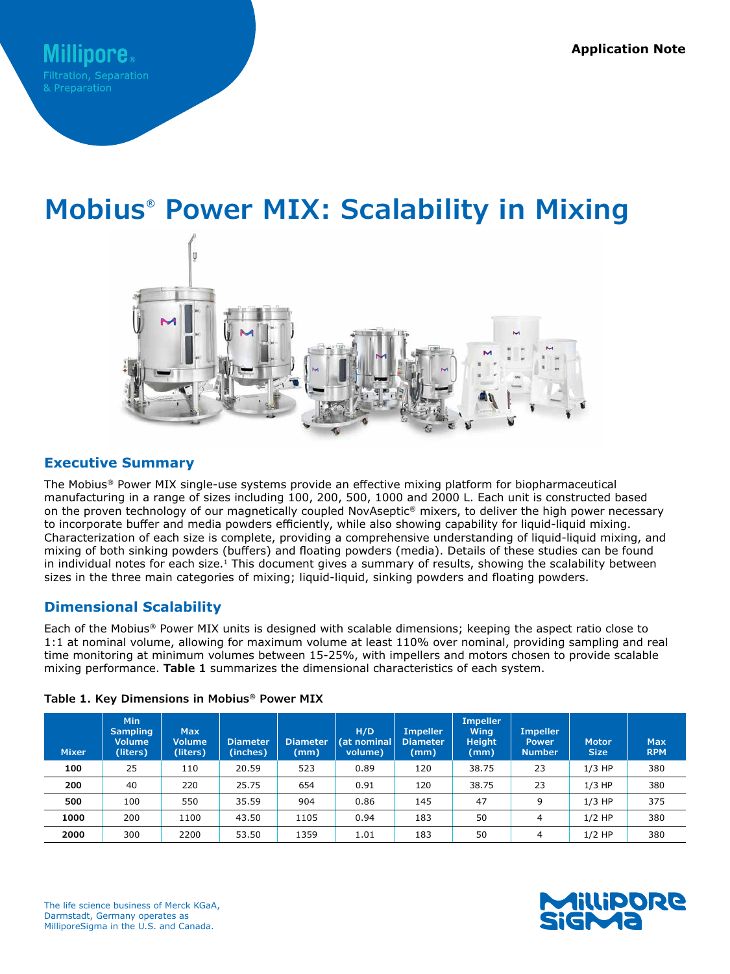# **Mobius® Power MIX: Scalability in Mixing**



## **Executive Summary**

The Mobius® Power MIX single-use systems provide an effective mixing platform for biopharmaceutical manufacturing in a range of sizes including 100, 200, 500, 1000 and 2000 L. Each unit is constructed based on the proven technology of our magnetically coupled NovAseptic® mixers, to deliver the high power necessary to incorporate buffer and media powders efficiently, while also showing capability for liquid-liquid mixing. Characterization of each size is complete, providing a comprehensive understanding of liquid-liquid mixing, and mixing of both sinking powders (buffers) and floating powders (media). Details of these studies can be found in individual notes for each size.<sup>1</sup> This document gives a summary of results, showing the scalability between sizes in the three main categories of mixing; liquid-liquid, sinking powders and floating powders.

## **Dimensional Scalability**

Each of the Mobius® Power MIX units is designed with scalable dimensions; keeping the aspect ratio close to 1:1 at nominal volume, allowing for maximum volume at least 110% over nominal, providing sampling and real time monitoring at minimum volumes between 15-25%, with impellers and motors chosen to provide scalable mixing performance. **Table 1** summarizes the dimensional characteristics of each system.

| <b>Mixer</b> | Min<br><b>Sampling</b><br><b>Volume</b><br>(liters) | <b>Max</b><br><b>Volume</b><br>(liters) | <b>Diameter</b><br>(inches) | <b>Diameter</b><br>(mm) | H/D<br>(at nominal<br>volume) | <b>Impeller</b><br><b>Diameter</b><br>(mm) | <b>Impeller</b><br><b>Wing</b><br><b>Height</b><br>(mm) | <b>Impeller</b><br><b>Power</b><br><b>Number</b> | <b>Motor</b><br><b>Size</b> | <b>Max</b><br><b>RPM</b> |
|--------------|-----------------------------------------------------|-----------------------------------------|-----------------------------|-------------------------|-------------------------------|--------------------------------------------|---------------------------------------------------------|--------------------------------------------------|-----------------------------|--------------------------|
| 100          | 25                                                  | 110                                     | 20.59                       | 523                     | 0.89                          | 120                                        | 38.75                                                   | 23                                               | $1/3$ HP                    | 380                      |
| 200          | 40                                                  | 220                                     | 25.75                       | 654                     | 0.91                          | 120                                        | 38.75                                                   | 23                                               | $1/3$ HP                    | 380                      |
| 500          | 100                                                 | 550                                     | 35.59                       | 904                     | 0.86                          | 145                                        | 47                                                      | 9                                                | $1/3$ HP                    | 375                      |
| 1000         | 200                                                 | 1100                                    | 43.50                       | 1105                    | 0.94                          | 183                                        | 50                                                      | 4                                                | $1/2$ HP                    | 380                      |
| 2000         | 300                                                 | 2200                                    | 53.50                       | 1359                    | 1.01                          | 183                                        | 50                                                      | 4                                                | $1/2$ HP                    | 380                      |

## **Table 1. Key Dimensions in Mobius® Power MIX**



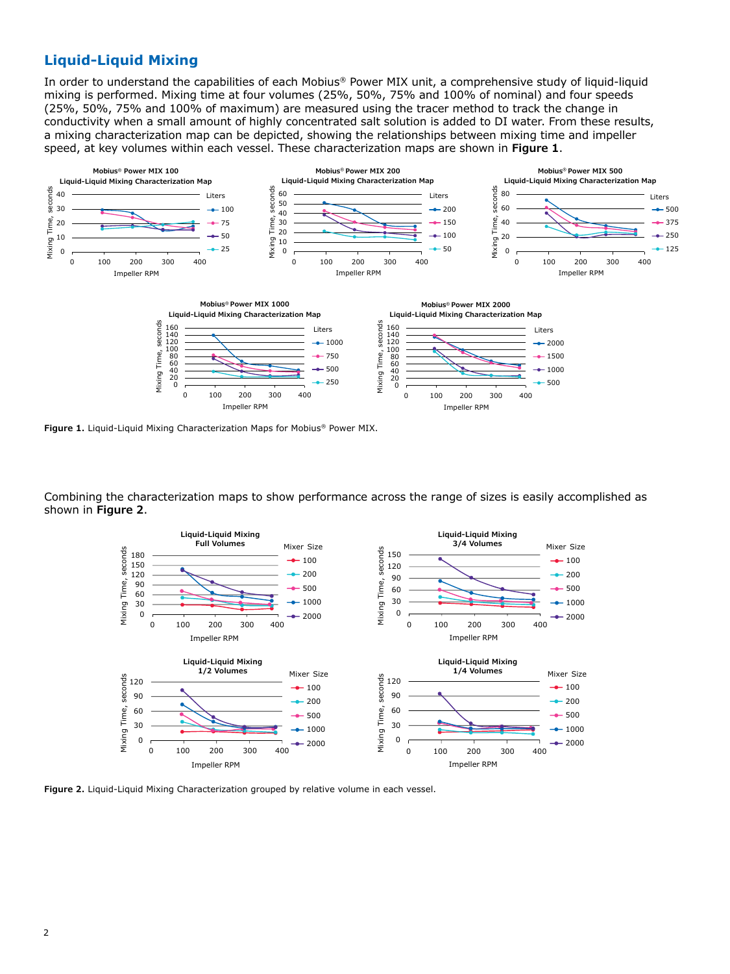# **Liquid-Liquid Mixing**

In order to understand the capabilities of each Mobius® Power MIX unit, a comprehensive study of liquid-liquid mixing is performed. Mixing time at four volumes (25%, 50%, 75% and 100% of nominal) and four speeds (25%, 50%, 75% and 100% of maximum) are measured using the tracer method to track the change in conductivity when a small amount of highly concentrated salt solution is added to DI water. From these results, a mixing characterization map can be depicted, showing the relationships between mixing time and impeller speed, at key volumes within each vessel. These characterization maps are shown in **Figure 1**.



**Figure 1.** Liquid-Liquid Mixing Characterization Maps for Mobius® Power MIX.

Combining the characterization maps to show performance across the range of sizes is easily accomplished as shown in **Figure 2**.



**Figure 2.** Liquid-Liquid Mixing Characterization grouped by relative volume in each vessel.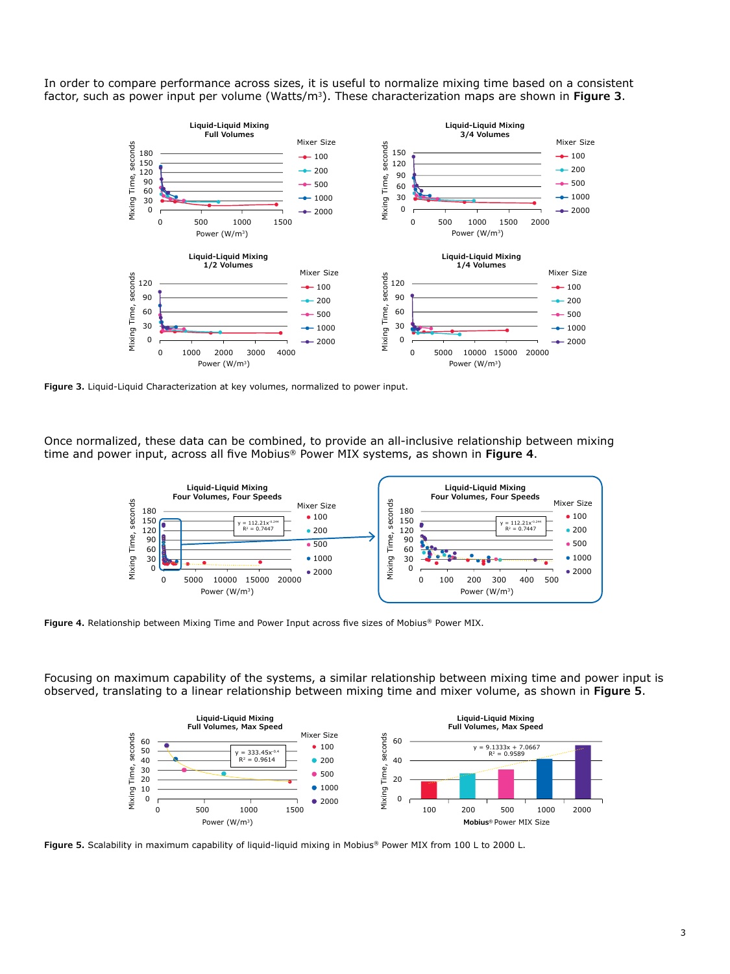In order to compare performance across sizes, it is useful to normalize mixing time based on a consistent factor, such as power input per volume (Watts/m3). These characterization maps are shown in **Figure 3**.



**Figure 3.** Liquid-Liquid Characterization at key volumes, normalized to power input.

Once normalized, these data can be combined, to provide an all-inclusive relationship between mixing time and power input, across all five Mobius® Power MIX systems, as shown in **Figure 4**.



**Figure 4.** Relationship between Mixing Time and Power Input across five sizes of Mobius® Power MIX.

Focusing on maximum capability of the systems, a similar relationship between mixing time and power input is observed, translating to a linear relationship between mixing time and mixer volume, as shown in **Figure 5**.



**Figure 5.** Scalability in maximum capability of liquid-liquid mixing in Mobius® Power MIX from 100 L to 2000 L.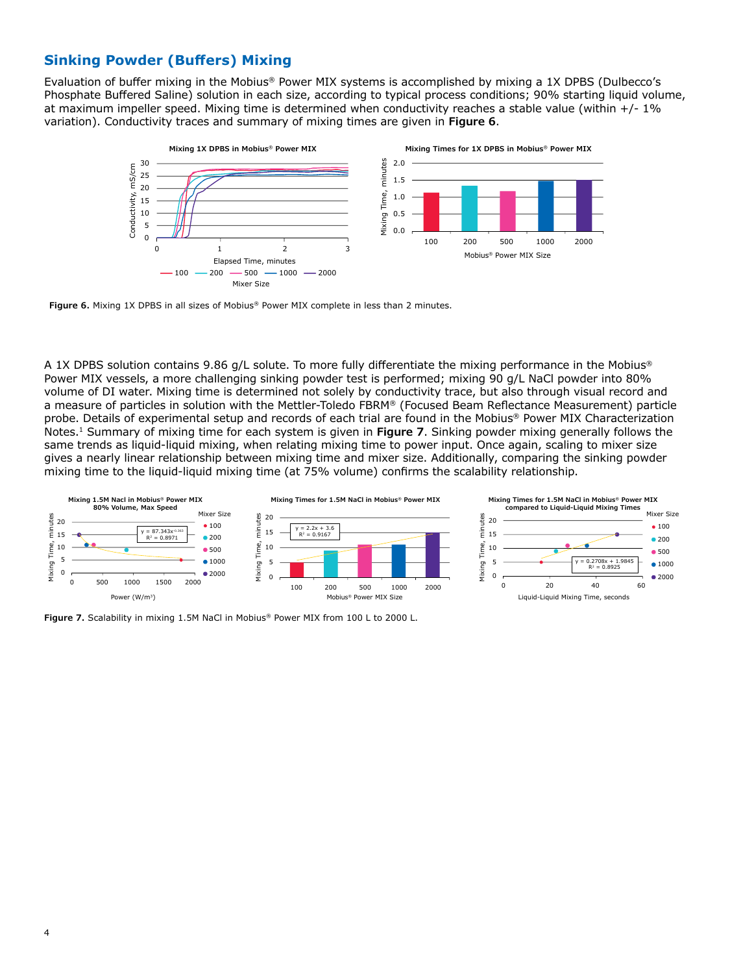# **Sinking Powder (Buffers) Mixing**

Evaluation of buffer mixing in the Mobius® Power MIX systems is accomplished by mixing a 1X DPBS (Dulbecco's Phosphate Buffered Saline) solution in each size, according to typical process conditions; 90% starting liquid volume, at maximum impeller speed. Mixing time is determined when conductivity reaches a stable value (within +/- 1% variation). Conductivity traces and summary of mixing times are given in **Figure 6**.



**Figure 6.** Mixing 1X DPBS in all sizes of Mobius® Power MIX complete in less than 2 minutes.

A 1X DPBS solution contains 9.86 g/L solute. To more fully differentiate the mixing performance in the Mobius® Power MIX vessels, a more challenging sinking powder test is performed; mixing 90 g/L NaCl powder into 80% volume of DI water. Mixing time is determined not solely by conductivity trace, but also through visual record and a measure of particles in solution with the Mettler-Toledo FBRM® (Focused Beam Reflectance Measurement) particle probe. Details of experimental setup and records of each trial are found in the Mobius® Power MIX Characterization Notes.1 Summary of mixing time for each system is given in **Figure 7**. Sinking powder mixing generally follows the same trends as liquid-liquid mixing, when relating mixing time to power input. Once again, scaling to mixer size gives a nearly linear relationship between mixing time and mixer size. Additionally, comparing the sinking powder mixing time to the liquid-liquid mixing time (at 75% volume) confirms the scalability relationship.



**Figure 7.** Scalability in mixing 1.5M NaCl in Mobius® Power MIX from 100 L to 2000 L.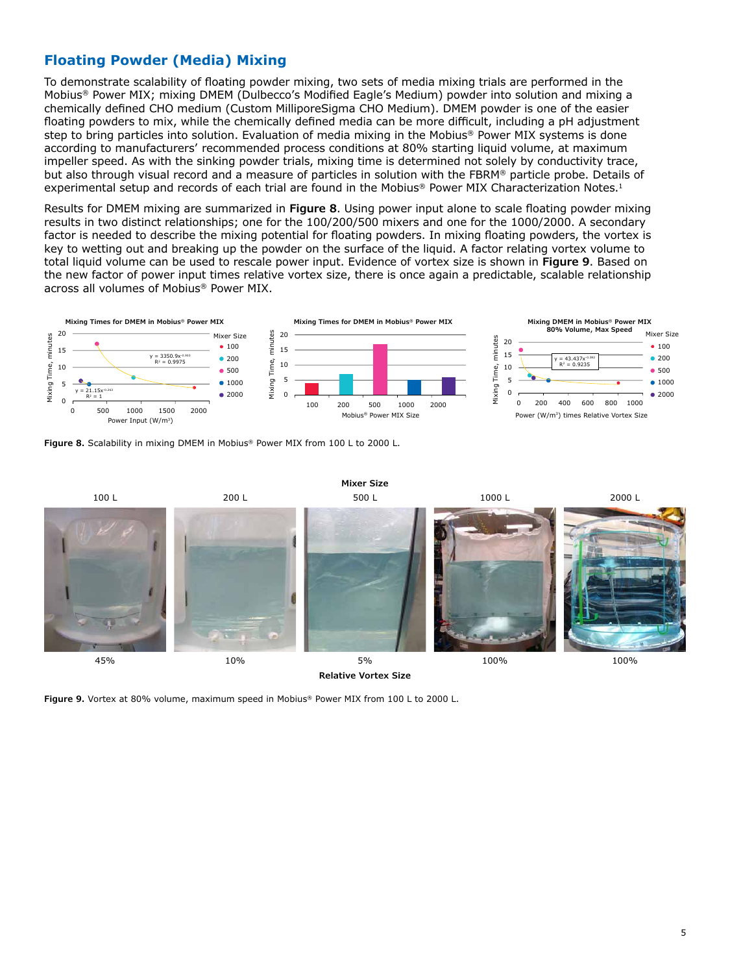# **Floating Powder (Media) Mixing**

To demonstrate scalability of floating powder mixing, two sets of media mixing trials are performed in the Mobius® Power MIX; mixing DMEM (Dulbecco's Modified Eagle's Medium) powder into solution and mixing a chemically defined CHO medium (Custom MilliporeSigma CHO Medium). DMEM powder is one of the easier floating powders to mix, while the chemically defined media can be more difficult, including a pH adjustment step to bring particles into solution. Evaluation of media mixing in the Mobius® Power MIX systems is done according to manufacturers' recommended process conditions at 80% starting liquid volume, at maximum impeller speed. As with the sinking powder trials, mixing time is determined not solely by conductivity trace, but also through visual record and a measure of particles in solution with the FBRM® particle probe. Details of experimental setup and records of each trial are found in the Mobius® Power MIX Characterization Notes.<sup>1</sup>

Results for DMEM mixing are summarized in **Figure 8**. Using power input alone to scale floating powder mixing results in two distinct relationships; one for the 100/200/500 mixers and one for the 1000/2000. A secondary factor is needed to describe the mixing potential for floating powders. In mixing floating powders, the vortex is key to wetting out and breaking up the powder on the surface of the liquid. A factor relating vortex volume to total liquid volume can be used to rescale power input. Evidence of vortex size is shown in **Figure 9**. Based on the new factor of power input times relative vortex size, there is once again a predictable, scalable relationship across all volumes of Mobius® Power MIX.



**Figure 8.** Scalability in mixing DMEM in Mobius® Power MIX from 100 L to 2000 L.



**Figure 9.** Vortex at 80% volume, maximum speed in Mobius® Power MIX from 100 L to 2000 L.